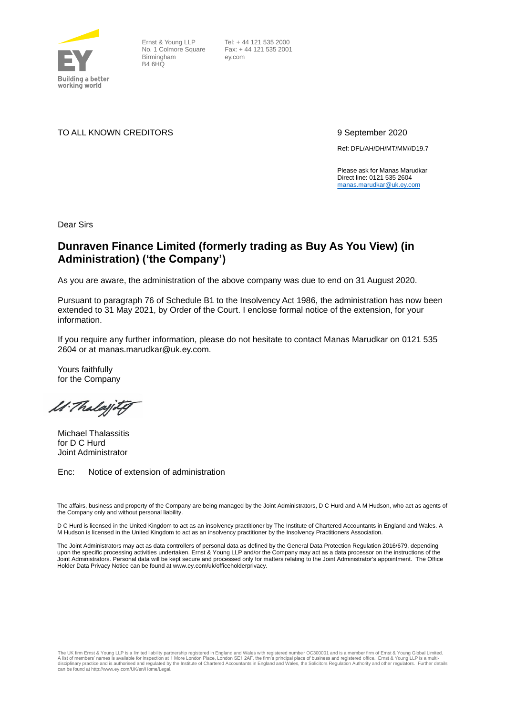

Ernst & Young LLP No. 1 Colmore Square Birmingham B4 6HQ

 Tel: + 44 121 535 2000 Fax: + 44 121 535 2001 ey.com

TO ALL KNOWN CREDITORS 9 September 2020

Ref: DFL/AH/DH/MT/MM//D19.7

Please ask for Manas Marudkar Direct line: 0121 535 2604 [manas.marudkar@uk.ey.com](mailto:manas.marudkar@uk.ey.com)

Dear Sirs

## **Dunraven Finance Limited (formerly trading as Buy As You View) (in Administration) ('the Company')**

As you are aware, the administration of the above company was due to end on 31 August 2020.

Pursuant to paragraph 76 of Schedule B1 to the Insolvency Act 1986, the administration has now been extended to 31 May 2021, by Order of the Court. I enclose formal notice of the extension, for your information.

If you require any further information, please do not hesitate to contact Manas Marudkar on 0121 535 2604 or at manas.marudkar@uk.ey.com.

Yours faithfully for the Company

M. Thalajitg

Michael Thalassitis for D C Hurd Joint Administrator

Enc: Notice of extension of administration

The affairs, business and property of the Company are being managed by the Joint Administrators, D C Hurd and A M Hudson, who act as agents of the Company only and without personal liability.

D C Hurd is licensed in the United Kingdom to act as an insolvency practitioner by The Institute of Chartered Accountants in England and Wales. A M Hudson is licensed in the United Kingdom to act as an insolvency practitioner by the Insolvency Practitioners Association.

The Joint Administrators may act as data controllers of personal data as defined by the General Data Protection Regulation 2016/679, depending upon the specific processing activities undertaken. Ernst & Young LLP and/or the Company may act as a data processor on the instructions of the Joint Administrators. Personal data will be kept secure and processed only for matters relating to the Joint Administrator's appointment. The Office [Holder Data Privacy Notice can be found](http://www.ey.com/uk/officeholderprivacy) at www.ey.com/uk/officeholderprivacy.

The UK firm Ernst & Young LLP is a limited liability partnership registered in England and Wales with registered number OC300001 and is a member firm of Ernst & Young Global Limited. A list of members' names is available for inspection at 1 More London Place, London SE1 2AF, the firm's principal place of business and registered office. Ernst & Young LLP is a multi-<br>disciplinary practice and is authori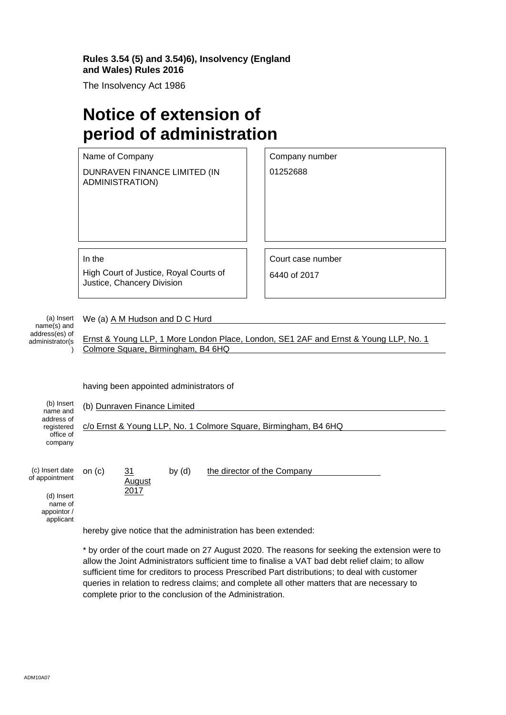## **Rules 3.54 (5) and 3.54)6), Insolvency (England and Wales) Rules 2016**

The Insolvency Act 1986

 $\overline{1}$ 

## **Notice of extension of period of administration**

|                                                                | Name of Company                                                         | Company number                                                                       |  |
|----------------------------------------------------------------|-------------------------------------------------------------------------|--------------------------------------------------------------------------------------|--|
|                                                                | DUNRAVEN FINANCE LIMITED (IN<br><b>ADMINISTRATION)</b>                  | 01252688                                                                             |  |
|                                                                |                                                                         |                                                                                      |  |
|                                                                | In the                                                                  | Court case number                                                                    |  |
|                                                                | High Court of Justice, Royal Courts of<br>Justice, Chancery Division    | 6440 of 2017                                                                         |  |
| (a) Insert<br>name(s) and<br>address(es) of<br>administrator(s | We (a) A M Hudson and D C Hurd<br>Colmore Square, Birmingham, B4 6HQ    | Ernst & Young LLP, 1 More London Place, London, SE1 2AF and Ernst & Young LLP, No. 1 |  |
| (b) Insert                                                     | having been appointed administrators of<br>(b) Dunraven Finance Limited |                                                                                      |  |
| name and<br>address of<br>registered<br>office of<br>company   | c/o Ernst & Young LLP, No. 1 Colmore Square, Birmingham, B4 6HQ         |                                                                                      |  |
| (c) Insert date<br>of appointment<br>$(d)$ looch               | on $(c)$<br>by $(d)$<br>31<br>August<br>2017                            | the director of the Company                                                          |  |

(d) Insert name of appointor / applicant

hereby give notice that the administration has been extended:

\* by order of the court made on 27 August 2020. The reasons for seeking the extension were to allow the Joint Administrators sufficient time to finalise a VAT bad debt relief claim; to allow sufficient time for creditors to process Prescribed Part distributions; to deal with customer queries in relation to redress claims; and complete all other matters that are necessary to complete prior to the conclusion of the Administration.